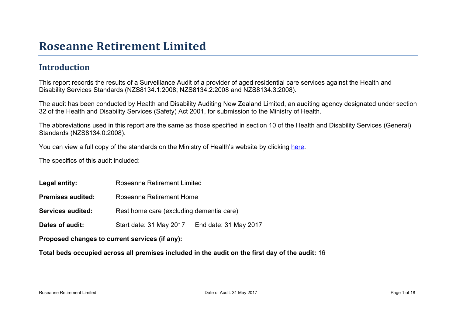### Roseanne Retir ement Limited

### Introduction

This report records the results of a Surveillance Audit of a provider of aged residential care services against the Health and Disability Services Standards (NZS8134.1:2008; NZS8134.2:2008 and NZS8134.3:2008).

The audit has been conducted by Health and Disability Auditing New Zealand Limited, an auditing agency designated under section 32 of the Health and Disability Services (Safety) Act 2001, for submission to the Ministry of Health.

The abbreviations used in this report are the same as those specified in section 10 of the Health and Disability Services (General) Standards (NZS8134.0:2008).

You can view a full copy of the standards on the Ministry of Health's website by clicking [here.](http://www.health.govt.nz/our-work/regulation-health-and-disability-system/certification-health-care-services/health-and-disability-services-standards)

The specifics of this audit included:

| Legal entity:                                     | <b>Roseanne Retirement Limited</b>       |                                                |  |
|---------------------------------------------------|------------------------------------------|------------------------------------------------|--|
| Premises audited:                                 | Roseanne Retirement Home                 |                                                |  |
| Services audited:                                 | Rest home care (excluding dementia care) |                                                |  |
| Dates of audit:                                   | Start date: 31 May 2017                  | End date: 31 May 2017                          |  |
| Proposed changes to current<br>services (if any): |                                          |                                                |  |
| Total beds occupied across all premises included  |                                          | in the audit on the first day of the audit: 16 |  |
|                                                   |                                          |                                                |  |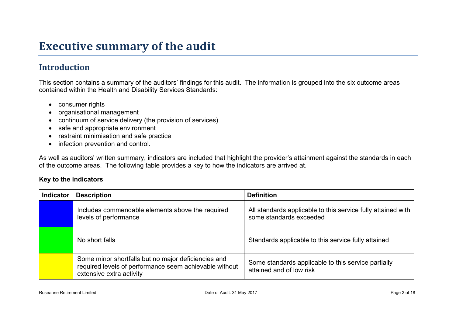## **Executive summary of the audit**

### **Introduction**

This section contains a summary of the auditors' findings for this audit. The information is grouped into the six outcome areas contained within the Health and Disability Services Standards:

- consumer rights
- organisational management
- continuum of service delivery (the provision of services)
- safe and appropriate environment
- restraint minimisation and safe practice
- infection prevention and control.

As well as auditors' written summary, indicators are included that highlight the provider's attainment against the standards in each of the outcome areas. The following table provides a key to how the indicators are arrived at.

#### **Key to the indicators**

| <b>Indicator</b> | <b>Description</b>                                                                                                                        | <b>Definition</b>                                                                       |
|------------------|-------------------------------------------------------------------------------------------------------------------------------------------|-----------------------------------------------------------------------------------------|
|                  | Includes commendable elements above the required<br>levels of performance                                                                 | All standards applicable to this service fully attained with<br>some standards exceeded |
|                  | No short falls                                                                                                                            | Standards applicable to this service fully attained                                     |
|                  | Some minor shortfalls but no major deficiencies and<br>required levels of performance seem achievable without<br>extensive extra activity | Some standards applicable to this service partially<br>attained and of low risk         |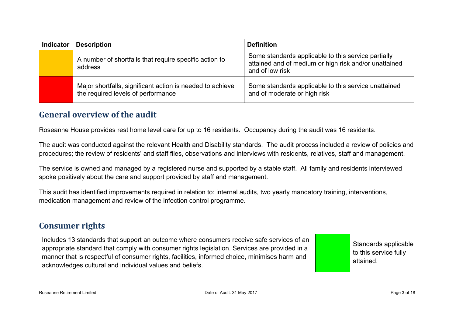| <b>Indicator</b> | <b>Description</b>                                                                              | <b>Definition</b>                                                                                                               |
|------------------|-------------------------------------------------------------------------------------------------|---------------------------------------------------------------------------------------------------------------------------------|
|                  | A number of shortfalls that require specific action to<br>address                               | Some standards applicable to this service partially<br>attained and of medium or high risk and/or unattained<br>and of low risk |
|                  | Major shortfalls, significant action is needed to achieve<br>the required levels of performance | Some standards applicable to this service unattained<br>and of moderate or high risk                                            |

#### **General overview of the audit**

Roseanne House provides rest home level care for up to 16 residents. Occupancy during the audit was 16 residents.

The audit was conducted against the relevant Health and Disability standards. The audit process included a review of policies and procedures; the review of residents' and staff files, observations and interviews with residents, relatives, staff and management.

The service is owned and managed by a registered nurse and supported by a stable staff. All family and residents interviewed spoke positively about the care and support provided by staff and management.

This audit has identified improvements required in relation to: internal audits, two yearly mandatory training, interventions, medication management and review of the infection control programme.

#### **Consumer rights**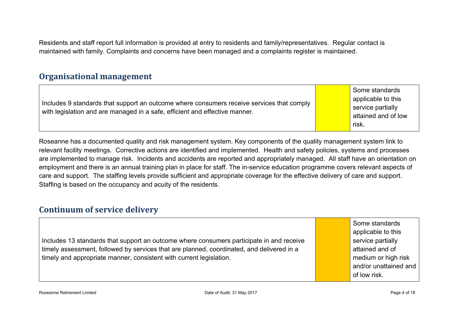Residents and staff report full information is provided at entry to residents and family/representatives. Regular contact is maintained with family. Complaints and concerns have been managed and a complaints register is maintained.

#### **Organisational management**

Includes 9 standards that support an outcome where consumers receive services that comply with legislation and are managed in a safe, efficient and effective manner.

Some standards applicable to this service partially attained and of low risk.

Roseanne has a documented quality and risk management system. Key components of the quality management system link to relevant facility meetings. Corrective actions are identified and implemented. Health and safety policies, systems and processes are implemented to manage risk. Incidents and accidents are reported and appropriately managed. All staff have an orientation on employment and there is an annual training plan in place for staff. The in-service education programme covers relevant aspects of care and support. The staffing levels provide sufficient and appropriate coverage for the effective delivery of care and support. Staffing is based on the occupancy and acuity of the residents.

#### **Continuum of service delivery**

|                                                                                           | Some standards        |
|-------------------------------------------------------------------------------------------|-----------------------|
|                                                                                           | applicable to this    |
| Includes 13 standards that support an outcome where consumers participate in and receive  | service partially     |
| timely assessment, followed by services that are planned, coordinated, and delivered in a | attained and of       |
| timely and appropriate manner, consistent with current legislation.                       | medium or high risk   |
|                                                                                           | and/or unattained and |
|                                                                                           | of low risk.          |

Roseanne Retirement Limited **Exercise 2 and Contract Contract Contract Contract Contract Contract Contract Contract Contract Contract Page 4 of 18 and 2017**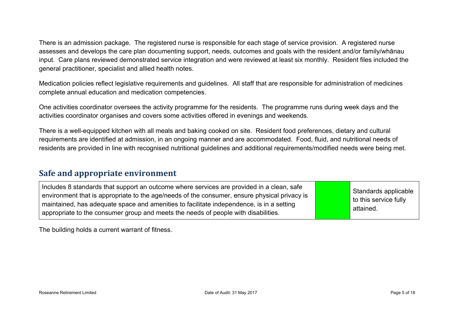There is an admission package. The registered nurse is responsible for each stage of service provision. A registered nurse assesses and develops the care plan documenting support, needs, outcomes and goals with the resident and/or family/whānau input. Care plans reviewed demonstrated service integration and were reviewed at least six monthly. Resident files included the general practitioner, specialist and allied health notes.

Medication policies reflect legislative requirements and guidelines. All staff that are responsible for administration of medicines complete annual education and medication competencies.

One activities coordinator oversees the activity programme for the residents. The programme runs during week days and the activities coordinator organises and covers some activities offered in evenings and weekends.

There is a well-equipped kitchen with all meals and baking cooked on site. Resident food preferences, dietary and cultural requirements are identified at admission, in an ongoing manner and are accommodated. Food, fluid, and nutritional needs of residents are provided in line with recognised nutritional guidelines and additional requirements/modified needs were being met.

#### **Safe and appropriate environment**

The building holds a current warrant of fitness.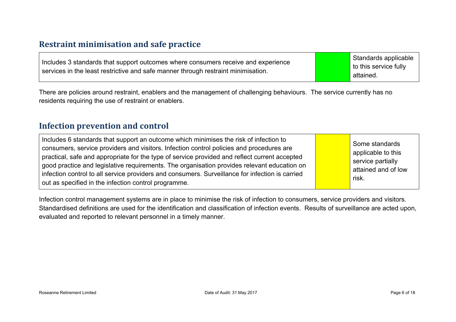#### **Restraint minimisation and safe practice**

| Includes 3 standards that support outcomes where consumers receive and experience | Standards applicable  |
|-----------------------------------------------------------------------------------|-----------------------|
| services in the least restrictive and safe manner through restraint minimisation. | to this service fully |
|                                                                                   | attained.             |

There are policies around restraint, enablers and the management of challenging behaviours. The service currently has no residents requiring the use of restraint or enablers.

#### **Infection prevention and control**

| Includes 6 standards that support an outcome which minimises the risk of infection to<br>consumers, service providers and visitors. Infection control policies and procedures are<br>practical, safe and appropriate for the type of service provided and reflect current accepted<br>good practice and legislative requirements. The organisation provides relevant education on<br>infection control to all service providers and consumers. Surveillance for infection is carried<br>out as specified in the infection control programme. | Some standards<br>applicable to this<br>service partially<br>attained and of low<br>risk. |
|----------------------------------------------------------------------------------------------------------------------------------------------------------------------------------------------------------------------------------------------------------------------------------------------------------------------------------------------------------------------------------------------------------------------------------------------------------------------------------------------------------------------------------------------|-------------------------------------------------------------------------------------------|
|----------------------------------------------------------------------------------------------------------------------------------------------------------------------------------------------------------------------------------------------------------------------------------------------------------------------------------------------------------------------------------------------------------------------------------------------------------------------------------------------------------------------------------------------|-------------------------------------------------------------------------------------------|

Infection control management systems are in place to minimise the risk of infection to consumers, service providers and visitors. Standardised definitions are used for the identification and classification of infection events. Results of surveillance are acted upon, evaluated and reported to relevant personnel in a timely manner.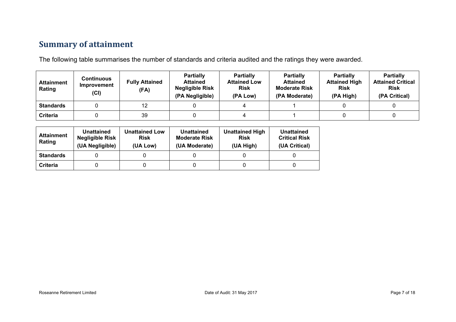### **Summary of attainment**

The following table summarises the number of standards and criteria audited and the ratings they were awarded.

| <b>Attainment</b><br>Rating | Continuous<br>Improvement<br>(Cl) | <b>Fully Attained</b><br>(FA) | <b>Partially</b><br><b>Attained</b><br><b>Negligible Risk</b><br>(PA Negligible) | <b>Partially</b><br><b>Attained Low</b><br><b>Risk</b><br>(PA Low) | <b>Partially</b><br><b>Attained</b><br><b>Moderate Risk</b><br>(PA Moderate) | <b>Partially</b><br><b>Attained High</b><br><b>Risk</b><br>(PA High) | <b>Partially</b><br><b>Attained Critical</b><br><b>Risk</b><br>(PA Critical) |
|-----------------------------|-----------------------------------|-------------------------------|----------------------------------------------------------------------------------|--------------------------------------------------------------------|------------------------------------------------------------------------------|----------------------------------------------------------------------|------------------------------------------------------------------------------|
| <b>Standards</b>            |                                   | 12                            |                                                                                  |                                                                    |                                                                              |                                                                      |                                                                              |
| <b>Criteria</b>             |                                   | 39                            |                                                                                  |                                                                    |                                                                              |                                                                      |                                                                              |

| <b>Attainment</b><br>Rating | Unattained<br><b>Negligible Risk</b><br>(UA Negligible) | <b>Unattained Low</b><br><b>Risk</b><br>(UA Low) | Unattained<br><b>Moderate Risk</b><br>(UA Moderate) | <b>Unattained High</b><br><b>Risk</b><br>(UA High) | Unattained<br><b>Critical Risk</b><br>(UA Critical) |
|-----------------------------|---------------------------------------------------------|--------------------------------------------------|-----------------------------------------------------|----------------------------------------------------|-----------------------------------------------------|
| <b>Standards</b>            |                                                         |                                                  |                                                     |                                                    |                                                     |
| Criteria                    |                                                         |                                                  |                                                     |                                                    |                                                     |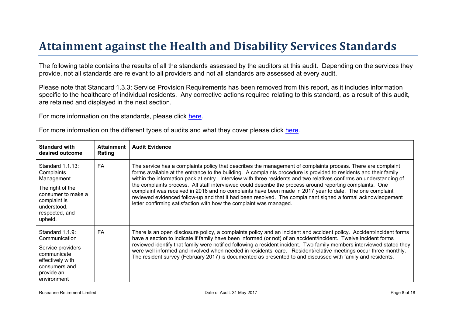# Attainment against the Health and Disability Ser vices Standar ds

The following table contains the results of all the standards assessed by the auditors at this audit. Depending on the services they provide, not all standards are relevant to all providers and not all standards are assessed at every audit.

Please note that Standard 1.3.3: Service Provision Requirements has been removed from this report, as it includes information specific to the healthcare of individual residents. Any corrective actions required relating to this standard, as a result of this audit, are retained and displayed in the next section.

For more information on the standards, please click [here](http://www.health.govt.nz/our-work/regulation-health-and-disability-system/certification-health-care-services/health-and-disability-services-standards).

| For more information on the different types of audits and what they cover please click here. |  |  |
|----------------------------------------------------------------------------------------------|--|--|
|----------------------------------------------------------------------------------------------|--|--|

| Standard with<br>desired outcome                                                                                                                   | Attainment<br>Rating | Audit Evidence                                                                                                                                                                                                                                                                                                                                                                                                                                                                                                                                                                                                                                                                                                                                                        |
|----------------------------------------------------------------------------------------------------------------------------------------------------|----------------------|-----------------------------------------------------------------------------------------------------------------------------------------------------------------------------------------------------------------------------------------------------------------------------------------------------------------------------------------------------------------------------------------------------------------------------------------------------------------------------------------------------------------------------------------------------------------------------------------------------------------------------------------------------------------------------------------------------------------------------------------------------------------------|
| Standard 1.1.13:<br>Complaints<br>Management<br>The right of the<br>consumer to make a<br>complaint is<br>understood,<br>respected, and<br>upheld. | FA                   | The service has a complaints policy that describes the management of complaints process. There are complaint<br>forms available at the entrance to the building. A complaints procedure is provided to residents and their family<br>within the information pack at entry. Interview with three residents and two relatives confirms an understanding of<br>the complaints process. All staff interviewed could describe the process around reporting complaints. One<br>complaint was received in 2016 and no complaints have been made in 2017 year to date. The one complaint<br>reviewed evidenced follow-up and that it had been resolved. The complainant signed a formal acknowledgement<br>letter confirming satisfaction with how the complaint was managed. |
| Standard 1.1.9:<br>Communication<br>Service providers<br>communicate<br>effectively with<br>consumers and<br>provide an<br>environment             | FA.                  | There is an open disclosure policy, a complaints policy and an incident and accident policy. Accident/incident forms<br>have a section to indicate if family have been informed (or not) of an accident/incident. Twelve incident forms<br>reviewed identify that family were notified following a resident incident. Two family members interviewed stated they<br>were well informed and involved when needed in residents' care. Resident/relative meetings occur three monthly.<br>The resident survey (February 2017) is documented as presented to and discussed with family and residents.                                                                                                                                                                     |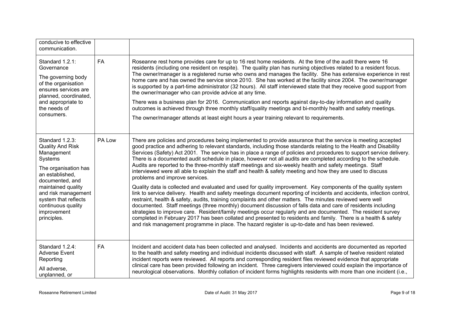| conducive to effective<br>communication.                                                                                                                                                                                                                   |           |                                                                                                                                                                                                                                                                                                                                                                                                                                                                                                                                                                                                                                                                                                                                                                                                                                                                                                                                                                                                                                                                                                                                                                                                                                                                                                                                                                                                                                                                                                                                                          |
|------------------------------------------------------------------------------------------------------------------------------------------------------------------------------------------------------------------------------------------------------------|-----------|----------------------------------------------------------------------------------------------------------------------------------------------------------------------------------------------------------------------------------------------------------------------------------------------------------------------------------------------------------------------------------------------------------------------------------------------------------------------------------------------------------------------------------------------------------------------------------------------------------------------------------------------------------------------------------------------------------------------------------------------------------------------------------------------------------------------------------------------------------------------------------------------------------------------------------------------------------------------------------------------------------------------------------------------------------------------------------------------------------------------------------------------------------------------------------------------------------------------------------------------------------------------------------------------------------------------------------------------------------------------------------------------------------------------------------------------------------------------------------------------------------------------------------------------------------|
| Standard 1.2.1:<br>Governance<br>The governing body<br>of the organisation<br>ensures services are<br>planned, coordinated,<br>and appropriate to<br>the needs of<br>consumers.                                                                            | <b>FA</b> | Roseanne rest home provides care for up to 16 rest home residents. At the time of the audit there were 16<br>residents (including one resident on respite). The quality plan has nursing objectives related to a resident focus.<br>The owner/manager is a registered nurse who owns and manages the facility. She has extensive experience in rest<br>home care and has owned the service since 2010. She has worked at the facility since 2004. The owner/manager<br>is supported by a part-time administrator (32 hours). All staff interviewed state that they receive good support from<br>the owner/manager who can provide advice at any time.<br>There was a business plan for 2016. Communication and reports against day-to-day information and quality<br>outcomes is achieved through three monthly staff/quality meetings and bi-monthly health and safety meetings.<br>The owner/manager attends at least eight hours a year training relevant to requirements.                                                                                                                                                                                                                                                                                                                                                                                                                                                                                                                                                                            |
| Standard 1.2.3:<br><b>Quality And Risk</b><br>Management<br>Systems<br>The organisation has<br>an established.<br>documented, and<br>maintained quality<br>and risk management<br>system that reflects<br>continuous quality<br>improvement<br>principles. | PA Low    | There are policies and procedures being implemented to provide assurance that the service is meeting accepted<br>good practice and adhering to relevant standards, including those standards relating to the Health and Disability<br>Services (Safety) Act 2001. The service has in place a range of policies and procedures to support service delivery.<br>There is a documented audit schedule in place, however not all audits are completed according to the schedule.<br>Audits are reported to the three-monthly staff meetings and six-weekly health and safety meetings. Staff<br>interviewed were all able to explain the staff and health & safety meeting and how they are used to discuss<br>problems and improve services.<br>Quality data is collected and evaluated and used for quality improvement. Key components of the quality system<br>link to service delivery. Health and safety meetings document reporting of incidents and accidents, infection control,<br>restraint, health & safety, audits, training complaints and other matters. The minutes reviewed were well<br>documented. Staff meetings (three monthly) document discussion of falls data and care of residents including<br>strategies to improve care. Resident/family meetings occur regularly and are documented. The resident survey<br>completed in February 2017 has been collated and presented to residents and family. There is a health & safety<br>and risk management programme in place. The hazard register is up-to-date and has been reviewed. |
| Standard 1.2.4:<br><b>Adverse Event</b><br>Reporting<br>All adverse,<br>unplanned, or                                                                                                                                                                      | <b>FA</b> | Incident and accident data has been collected and analysed. Incidents and accidents are documented as reported<br>to the health and safety meeting and individual incidents discussed with staff. A sample of twelve resident related<br>incident reports were reviewed. All reports and corresponding resident files reviewed evidence that appropriate<br>clinical care has been provided following an incident. Three caregivers interviewed could explain the importance of<br>neurological observations. Monthly collation of incident forms highlights residents with more than one incident (i.e.,                                                                                                                                                                                                                                                                                                                                                                                                                                                                                                                                                                                                                                                                                                                                                                                                                                                                                                                                                |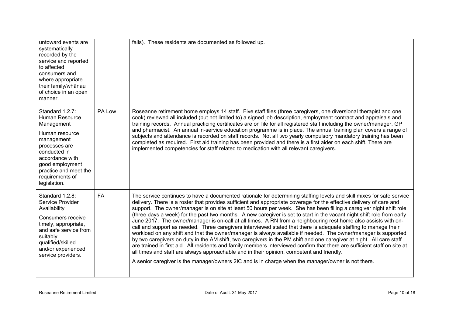| untoward events are<br>systematically<br>recorded by the<br>service and reported<br>to affected<br>consumers and<br>where appropriate<br>their family/whānau<br>of choice in an open<br>manner.                    |           | falls). These residents are documented as followed up.                                                                                                                                                                                                                                                                                                                                                                                                                                                                                                                                                                                                                                                                                                                                                                                                                                                                                                                                                                                                                                                                                                                                                                                                                                                        |
|--------------------------------------------------------------------------------------------------------------------------------------------------------------------------------------------------------------------|-----------|---------------------------------------------------------------------------------------------------------------------------------------------------------------------------------------------------------------------------------------------------------------------------------------------------------------------------------------------------------------------------------------------------------------------------------------------------------------------------------------------------------------------------------------------------------------------------------------------------------------------------------------------------------------------------------------------------------------------------------------------------------------------------------------------------------------------------------------------------------------------------------------------------------------------------------------------------------------------------------------------------------------------------------------------------------------------------------------------------------------------------------------------------------------------------------------------------------------------------------------------------------------------------------------------------------------|
| Standard 1.2.7:<br>Human Resource<br>Management<br>Human resource<br>management<br>processes are<br>conducted in<br>accordance with<br>good employment<br>practice and meet the<br>requirements of<br>legislation. | PA Low    | Roseanne retirement home employs 14 staff. Five staff files (three caregivers, one diversional therapist and one<br>cook) reviewed all included (but not limited to) a signed job description, employment contract and appraisals and<br>training records. Annual practicing certificates are on file for all registered staff including the owner/manager, GP<br>and pharmacist. An annual in-service education programme is in place. The annual training plan covers a range of<br>subjects and attendance is recorded on staff records. Not all two yearly compulsory mandatory training has been<br>completed as required. First aid training has been provided and there is a first aider on each shift. There are<br>implemented competencies for staff related to medication with all relevant caregivers.                                                                                                                                                                                                                                                                                                                                                                                                                                                                                            |
| Standard 1.2.8:<br>Service Provider<br>Availability<br>Consumers receive<br>timely, appropriate,<br>and safe service from<br>suitably<br>qualified/skilled<br>and/or experienced<br>service providers.             | <b>FA</b> | The service continues to have a documented rationale for determining staffing levels and skill mixes for safe service<br>delivery. There is a roster that provides sufficient and appropriate coverage for the effective delivery of care and<br>support. The owner/manager is on site at least 50 hours per week. She has been filling a caregiver night shift role<br>(three days a week) for the past two months. A new caregiver is set to start in the vacant night shift role from early<br>June 2017. The owner/manager is on-call at all times. A RN from a neighbouring rest home also assists with on-<br>call and support as needed. Three caregivers interviewed stated that there is adequate staffing to manage their<br>workload on any shift and that the owner/manager is always available if needed. The owner/manager is supported<br>by two caregivers on duty in the AM shift, two caregivers in the PM shift and one caregiver at night. All care staff<br>are trained in first aid. All residents and family members interviewed confirm that there are sufficient staff on site at<br>all times and staff are always approachable and in their opinion, competent and friendly.<br>A senior caregiver is the manager/owners 2IC and is in charge when the manager/owner is not there. |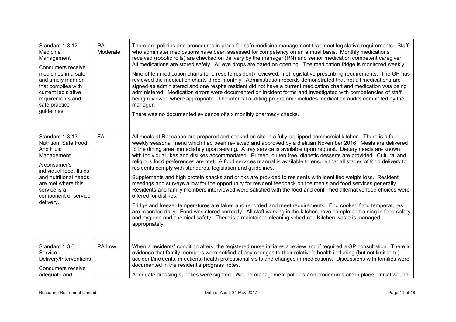| Standard 1.3.12:<br>Medicine<br>Management<br>Consumers receive<br>medicines in a safe<br>and timely manner<br>that complies with<br>current legislative<br>requirements and<br>safe practice<br>guidelines.        | PA<br>Moderate | There are policies and procedures in place for safe medicine management that meet legislative requirements. Staff<br>who administer medications have been assessed for competency on an annual basis. Monthly medications<br>received (robotic rolls) are checked on delivery by the manager (RN) and senior medication competent caregiver.<br>All medications are stored safely. All eye drops are dated on opening. The medication fridge is monitored weekly.<br>Nine of ten medication charts (one respite resident) reviewed, met legislative prescribing requirements. The GP has<br>reviewed the medication charts three-monthly. Administration records demonstrated that not all medications are<br>signed as administered and one respite resident did not have a current medication chart and medication was being<br>administered. Medication errors were documented on incident forms and investigated with competencies of staff<br>being reviewed where appropriate. The internal auditing programme includes medication audits completed by the<br>manager.<br>There was no documented evidence of six monthly pharmacy checks.                                                                                                                                                                                                                                                                 |
|---------------------------------------------------------------------------------------------------------------------------------------------------------------------------------------------------------------------|----------------|------------------------------------------------------------------------------------------------------------------------------------------------------------------------------------------------------------------------------------------------------------------------------------------------------------------------------------------------------------------------------------------------------------------------------------------------------------------------------------------------------------------------------------------------------------------------------------------------------------------------------------------------------------------------------------------------------------------------------------------------------------------------------------------------------------------------------------------------------------------------------------------------------------------------------------------------------------------------------------------------------------------------------------------------------------------------------------------------------------------------------------------------------------------------------------------------------------------------------------------------------------------------------------------------------------------------------------------------------------------------------------------------------------------|
| Standard 1.3.13:<br>Nutrition, Safe Food,<br>And Fluid<br>Management<br>A consumer's<br>individual food, fluids<br>and nutritional needs<br>are met where this<br>service is a<br>component of service<br>delivery. | <b>FA</b>      | All meals at Roseanne are prepared and cooked on site in a fully equipped commercial kitchen. There is a four-<br>weekly seasonal menu which had been reviewed and approved by a dietitian November 2016. Meals are delivered<br>to the dining area immediately upon serving. A tray service is available upon request. Dietary needs are known<br>with individual likes and dislikes accommodated. Pureed, gluten free, diabetic desserts are provided. Cultural and<br>religious food preferences are met. A food services manual is available to ensure that all stages of food delivery to<br>residents comply with standards, legislation and guidelines.<br>Supplements and high protein snacks and drinks are provided to residents with identified weight loss. Resident<br>meetings and surveys allow for the opportunity for resident feedback on the meals and food services generally.<br>Residents and family members interviewed were satisfied with the food and confirmed alternative food choices were<br>offered for dislikes.<br>Fridge and freezer temperatures are taken and recorded and meet requirements. End cooked food temperatures<br>are recorded daily. Food was stored correctly. All staff working in the kitchen have completed training in food safety<br>and hygiene and chemical safety. There is a maintained cleaning schedule. Kitchen waste is managed<br>appropriately. |
| Standard 1.3.6:<br>Service<br>Delivery/Interventions<br>Consumers receive<br>adequate and                                                                                                                           | PA Low         | When a residents' condition alters, the registered nurse initiates a review and if required a GP consultation. There is<br>evidence that family members were notified of any changes to their relative's health including (but not limited to)<br>accident/incidents, infections, health professional visits and changes in medications. Discussions with families were<br>documented in the resident's progress notes.<br>Adequate dressing supplies were sighted. Wound management policies and procedures are in place. Initial wound                                                                                                                                                                                                                                                                                                                                                                                                                                                                                                                                                                                                                                                                                                                                                                                                                                                                         |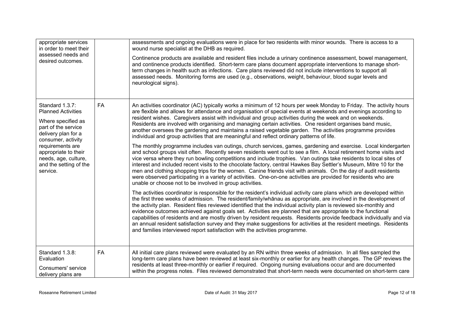| appropriate services<br>in order to meet their<br>assessed needs and<br>desired outcomes.                                                                                                                                                                                                                                 |           | assessments and ongoing evaluations were in place for two residents with minor wounds. There is access to a<br>wound nurse specialist at the DHB as required.<br>Continence products are available and resident files include a urinary continence assessment, bowel management,<br>and continence products identified. Short-term care plans document appropriate interventions to manage short-<br>term changes in health such as infections. Care plans reviewed did not include interventions to support all<br>assessed needs. Monitoring forms are used (e.g., observations, weight, behaviour, blood sugar levels and<br>neurological signs).                                                                                                                                                                                                                                                                                                                                                                                                                                                                                                                                                                                                                                                                                                                                                                                                                                                                                                                                                                                                                                                                                                                                                                                                                                                                                                                                                                                                                                                                                                                                                                      |
|---------------------------------------------------------------------------------------------------------------------------------------------------------------------------------------------------------------------------------------------------------------------------------------------------------------------------|-----------|---------------------------------------------------------------------------------------------------------------------------------------------------------------------------------------------------------------------------------------------------------------------------------------------------------------------------------------------------------------------------------------------------------------------------------------------------------------------------------------------------------------------------------------------------------------------------------------------------------------------------------------------------------------------------------------------------------------------------------------------------------------------------------------------------------------------------------------------------------------------------------------------------------------------------------------------------------------------------------------------------------------------------------------------------------------------------------------------------------------------------------------------------------------------------------------------------------------------------------------------------------------------------------------------------------------------------------------------------------------------------------------------------------------------------------------------------------------------------------------------------------------------------------------------------------------------------------------------------------------------------------------------------------------------------------------------------------------------------------------------------------------------------------------------------------------------------------------------------------------------------------------------------------------------------------------------------------------------------------------------------------------------------------------------------------------------------------------------------------------------------------------------------------------------------------------------------------------------------|
| Standard 1.3.7:<br><b>FA</b><br><b>Planned Activities</b><br>Where specified as<br>part of the service<br>delivery plan for a<br>consumer, activity<br>requirements are<br>appropriate to their<br>needs, age, culture,<br>and the setting of the<br>service.<br>unable or choose not to be involved in group activities. |           | An activities coordinator (AC) typically works a minimum of 12 hours per week Monday to Friday. The activity hours<br>are flexible and allows for attendance and organisation of special events at weekends and evenings according to<br>resident wishes. Caregivers assist with individual and group activities during the week and on weekends.<br>Residents are involved with organising and managing certain activities. One resident organises band music,<br>another oversees the gardening and maintains a raised vegetable garden. The activities programme provides<br>individual and group activities that are meaningful and reflect ordinary patterns of life.<br>The monthly programme includes van outings, church services, games, gardening and exercise. Local kindergarten<br>and school groups visit often. Recently seven residents went out to see a film. A local retirement home visits and<br>vice versa where they run bowling competitions and include trophies. Van outings take residents to local sites of<br>interest and included recent visits to the chocolate factory, central Hawkes Bay Settler's Museum, Mitre 10 for the<br>men and clothing shopping trips for the women. Canine friends visit with animals. On the day of audit residents<br>were observed participating in a variety of activities. One-on-one activities are provided for residents who are<br>The activities coordinator is responsible for the resident's individual activity care plans which are developed within<br>the first three weeks of admission. The resident/family/whanau as appropriate, are involved in the development of<br>the activity plan. Resident files reviewed identified that the individual activity plan is reviewed six-monthly and<br>evidence outcomes achieved against goals set. Activities are planned that are appropriate to the functional<br>capabilities of residents and are mostly driven by resident requests. Residents provide feedback individually and via<br>an annual resident satisfaction survey and they make suggestions for activities at the resident meetings. Residents<br>and families interviewed report satisfaction with the activities programme. |
| Standard 1.3.8:<br>Evaluation<br>Consumers' service<br>delivery plans are                                                                                                                                                                                                                                                 | <b>FA</b> | All initial care plans reviewed were evaluated by an RN within three weeks of admission. In all files sampled the<br>long-term care plans have been reviewed at least six-monthly or earlier for any health changes. The GP reviews the<br>residents at least three-monthly or earlier if required. Ongoing nursing evaluations occur and are documented<br>within the progress notes. Files reviewed demonstrated that short-term needs were documented on short-term care                                                                                                                                                                                                                                                                                                                                                                                                                                                                                                                                                                                                                                                                                                                                                                                                                                                                                                                                                                                                                                                                                                                                                                                                                                                                                                                                                                                                                                                                                                                                                                                                                                                                                                                                               |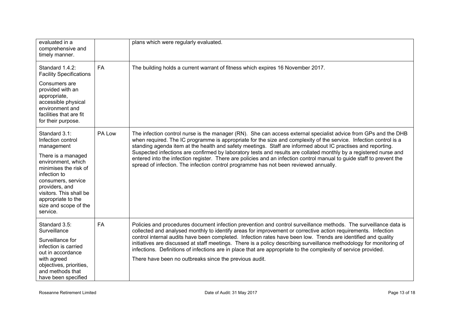| evaluated in a<br>comprehensive and<br>timely manner.                                                                                                                                                                                                               |           | plans which were regularly evaluated.                                                                                                                                                                                                                                                                                                                                                                                                                                                                                                                                                                                                                                                      |
|---------------------------------------------------------------------------------------------------------------------------------------------------------------------------------------------------------------------------------------------------------------------|-----------|--------------------------------------------------------------------------------------------------------------------------------------------------------------------------------------------------------------------------------------------------------------------------------------------------------------------------------------------------------------------------------------------------------------------------------------------------------------------------------------------------------------------------------------------------------------------------------------------------------------------------------------------------------------------------------------------|
| Standard 1.4.2:<br><b>Facility Specifications</b><br>Consumers are<br>provided with an<br>appropriate,<br>accessible physical<br>environment and<br>facilities that are fit<br>for their purpose.                                                                   | <b>FA</b> | The building holds a current warrant of fitness which expires 16 November 2017.                                                                                                                                                                                                                                                                                                                                                                                                                                                                                                                                                                                                            |
| Standard 3.1:<br>Infection control<br>management<br>There is a managed<br>environment, which<br>minimises the risk of<br>infection to<br>consumers, service<br>providers, and<br>visitors. This shall be<br>appropriate to the<br>size and scope of the<br>service. | PA Low    | The infection control nurse is the manager (RN). She can access external specialist advice from GPs and the DHB<br>when required. The IC programme is appropriate for the size and complexity of the service. Infection control is a<br>standing agenda item at the health and safety meetings. Staff are informed about IC practises and reporting.<br>Suspected infections are confirmed by laboratory tests and results are collated monthly by a registered nurse and<br>entered into the infection register. There are policies and an infection control manual to guide staff to prevent the<br>spread of infection. The infection control programme has not been reviewed annually. |
| Standard 3.5:<br>Surveillance<br>Surveillance for<br>infection is carried<br>out in accordance<br>with agreed<br>objectives, priorities,<br>and methods that<br>have been specified                                                                                 | <b>FA</b> | Policies and procedures document infection prevention and control surveillance methods. The surveillance data is<br>collected and analysed monthly to identify areas for improvement or corrective action requirements. Infection<br>control internal audits have been completed. Infection rates have been low. Trends are identified and quality<br>initiatives are discussed at staff meetings. There is a policy describing surveillance methodology for monitoring of<br>infections. Definitions of infections are in place that are appropriate to the complexity of service provided.<br>There have been no outbreaks since the previous audit.                                     |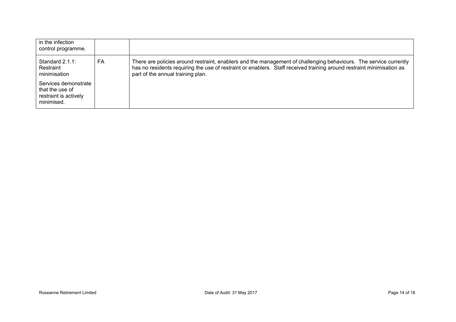| in the infection<br>control programme.                                         |    |                                                                                                                                                                                                                                                                                 |
|--------------------------------------------------------------------------------|----|---------------------------------------------------------------------------------------------------------------------------------------------------------------------------------------------------------------------------------------------------------------------------------|
| Standard $2.1.1$ :<br>Restraint<br>minimisation                                | FA | There are policies around restraint, enablers and the management of challenging behaviours. The service currently<br>has no residents requiring the use of restraint or enablers. Staff received training around restraint minimisation as<br>part of the annual training plan. |
| Services demonstrate<br>that the use of<br>restraint is actively<br>minimised. |    |                                                                                                                                                                                                                                                                                 |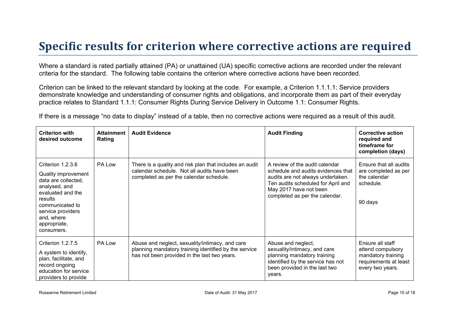### **Specific results for criterion where corrective actions are required**

Where a standard is rated partially attained (PA) or unattained (UA) specific corrective actions are recorded under the relevant criteria for the standard. The following table contains the criterion where corrective actions have been recorded.

Criterion can be linked to the relevant standard by looking at the code. For example, a Criterion 1.1.1.1: Service providers demonstrate knowledge and understanding of consumer rights and obligations, and incorporate them as part of their everyday practice relates to Standard 1.1.1: Consumer Rights During Service Delivery in Outcome 1.1: Consumer Rights.

If there is a message "no data to display" instead of a table, then no corrective actions were required as a result of this audit.

| <b>Criterion with</b><br>desired outcome                                                                                                                                                             | <b>Attainment</b><br>Rating | <b>Audit Evidence</b>                                                                                                                                    | <b>Audit Finding</b>                                                                                                                                                                                        | <b>Corrective action</b><br>required and<br>timeframe for<br>completion (days)                           |
|------------------------------------------------------------------------------------------------------------------------------------------------------------------------------------------------------|-----------------------------|----------------------------------------------------------------------------------------------------------------------------------------------------------|-------------------------------------------------------------------------------------------------------------------------------------------------------------------------------------------------------------|----------------------------------------------------------------------------------------------------------|
| Criterion 1.2.3.6<br>Quality improvement<br>data are collected,<br>analysed, and<br>evaluated and the<br>results<br>communicated to<br>service providers<br>and, where<br>appropriate,<br>consumers. | PA Low                      | There is a quality and risk plan that includes an audit<br>calendar schedule. Not all audits have been<br>completed as per the calendar schedule.        | A review of the audit calendar<br>schedule and audits evidences that<br>audits are not always undertaken.<br>Ten audits scheduled for April and<br>May 2017 have not been<br>completed as per the calendar. | Ensure that all audits<br>are completed as per<br>the calendar<br>schedule.<br>90 days                   |
| Criterion 1.2.7.5<br>A system to identify,<br>plan, facilitate, and<br>record ongoing<br>education for service<br>providers to provide                                                               | PA Low                      | Abuse and neglect, sexuality/intimacy, and care<br>planning mandatory training identified by the service<br>has not been provided in the last two years. | Abuse and neglect,<br>sexuality/intimacy, and care<br>planning mandatory training<br>identified by the service has not<br>been provided in the last two<br>years.                                           | Ensure all staff<br>attend compulsory<br>mandatory training<br>requirements at least<br>every two years. |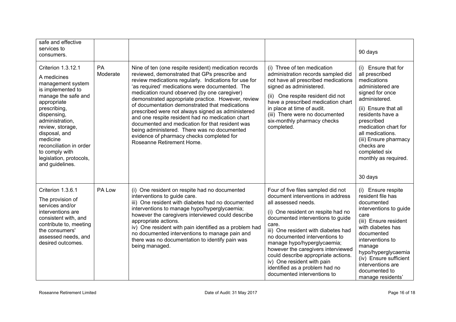| safe and effective<br>services to<br>consumers.                                                                                                                                                                                                                                                                 |                       |                                                                                                                                                                                                                                                                                                                                                                                                                                                                                                                                                                                                                                                                |                                                                                                                                                                                                                                                                                                                                                                                                                                                                        | 90 days                                                                                                                                                                                                                                                                                                       |
|-----------------------------------------------------------------------------------------------------------------------------------------------------------------------------------------------------------------------------------------------------------------------------------------------------------------|-----------------------|----------------------------------------------------------------------------------------------------------------------------------------------------------------------------------------------------------------------------------------------------------------------------------------------------------------------------------------------------------------------------------------------------------------------------------------------------------------------------------------------------------------------------------------------------------------------------------------------------------------------------------------------------------------|------------------------------------------------------------------------------------------------------------------------------------------------------------------------------------------------------------------------------------------------------------------------------------------------------------------------------------------------------------------------------------------------------------------------------------------------------------------------|---------------------------------------------------------------------------------------------------------------------------------------------------------------------------------------------------------------------------------------------------------------------------------------------------------------|
| Criterion 1.3.12.1<br>A medicines<br>management system<br>is implemented to<br>manage the safe and<br>appropriate<br>prescribing,<br>dispensing,<br>administration.<br>review, storage,<br>disposal, and<br>medicine<br>reconciliation in order<br>to comply with<br>legislation, protocols,<br>and guidelines. | <b>PA</b><br>Moderate | Nine of ten (one respite resident) medication records<br>reviewed, demonstrated that GPs prescribe and<br>review medications regularly. Indications for use for<br>'as required' medications were documented. The<br>medication round observed (by one caregiver)<br>demonstrated appropriate practice. However, review<br>of documentation demonstrated that medications<br>prescribed were not always signed as administered<br>and one respite resident had no medication chart<br>documented and medication for that resident was<br>being administered. There was no documented<br>evidence of pharmacy checks completed for<br>Roseanne Retirement Home. | (i) Three of ten medication<br>administration records sampled did<br>not have all prescribed medications<br>signed as administered.<br>(ii) One respite resident did not<br>have a prescribed medication chart<br>in place at time of audit.<br>(iii) There were no documented<br>six-monthly pharmacy checks<br>completed.                                                                                                                                            | (i) Ensure that for<br>all prescribed<br>medications<br>administered are<br>signed for once<br>administered.<br>(ii) Ensure that all<br>residents have a<br>prescribed<br>medication chart for<br>all medications.<br>(iii) Ensure pharmacy<br>checks are<br>completed six<br>monthly as required.<br>30 days |
| Criterion 1.3.6.1<br>The provision of<br>services and/or<br>interventions are<br>consistent with, and<br>contribute to, meeting<br>the consumers'<br>assessed needs, and<br>desired outcomes.                                                                                                                   | PA Low                | (i) One resident on respite had no documented<br>interventions to guide care.<br>iii) One resident with diabetes had no documented<br>interventions to manage hypo/hyperglycaemia;<br>however the caregivers interviewed could describe<br>appropriate actions.<br>iv) One resident with pain identified as a problem had<br>no documented interventions to manage pain and<br>there was no documentation to identify pain was<br>being managed.                                                                                                                                                                                                               | Four of five files sampled did not<br>document interventions in address<br>all assessed needs.<br>(i) One resident on respite had no<br>documented interventions to guide<br>care.<br>iii) One resident with diabetes had<br>no documented interventions to<br>manage hypo/hyperglycaemia;<br>however the caregivers interviewed<br>could describe appropriate actions.<br>iv) One resident with pain<br>identified as a problem had no<br>documented interventions to | (i) Ensure respite<br>resident file has<br>documented<br>interventions to guide<br>care<br>(iii) Ensure resident<br>with diabetes has<br>documented<br>interventions to<br>manage<br>hypo/hyperglycaemia<br>(iv) Ensure sufficient<br>interventions are<br>documented to<br>manage residents'                 |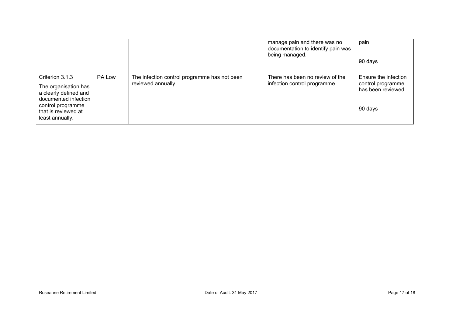|                                                                                                                                                         |        |                                                                    | manage pain and there was no<br>documentation to identify pain was<br>being managed. | pain<br>90 days                                                           |
|---------------------------------------------------------------------------------------------------------------------------------------------------------|--------|--------------------------------------------------------------------|--------------------------------------------------------------------------------------|---------------------------------------------------------------------------|
| Criterion 3.1.3<br>The organisation has<br>a clearly defined and<br>documented infection<br>control programme<br>that is reviewed at<br>least annually. | PA Low | The infection control programme has not been<br>reviewed annually. | There has been no review of the<br>infection control programme                       | Ensure the infection<br>control programme<br>has been reviewed<br>90 days |